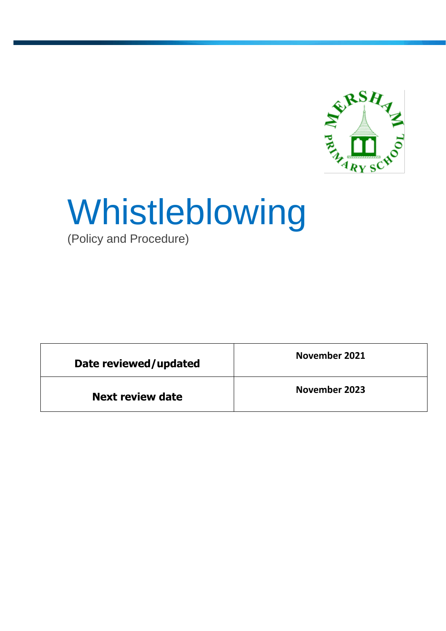

# Whistleblowing

(Policy and Procedure)

| Date reviewed/updated   | November 2021 |
|-------------------------|---------------|
| <b>Next review date</b> | November 2023 |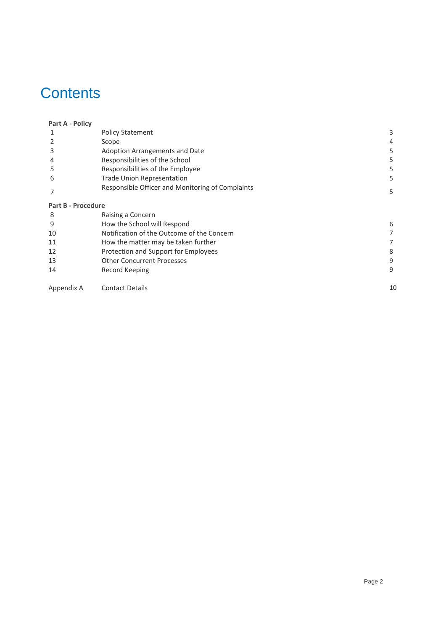# **Contents**

| Part A - Policy           |                                                  |    |
|---------------------------|--------------------------------------------------|----|
|                           | <b>Policy Statement</b>                          | 3  |
|                           | Scope                                            | 4  |
| 3                         | Adoption Arrangements and Date                   | 5  |
| 4                         | Responsibilities of the School                   | 5  |
| 5                         | Responsibilities of the Employee                 | 5. |
| 6                         | <b>Trade Union Representation</b>                | 5. |
|                           | Responsible Officer and Monitoring of Complaints | 5. |
| <b>Part B - Procedure</b> |                                                  |    |
| 8                         | Raising a Concern                                |    |
| 9                         | How the School will Respond                      | 6  |
| 10                        | Notification of the Outcome of the Concern       |    |
| 11                        | How the matter may be taken further              |    |
| 12                        | Protection and Support for Employees             | 8  |
| 13                        | <b>Other Concurrent Processes</b>                | 9  |
| 14                        | Record Keeping                                   | 9  |
| Appendix A                | <b>Contact Details</b>                           | 10 |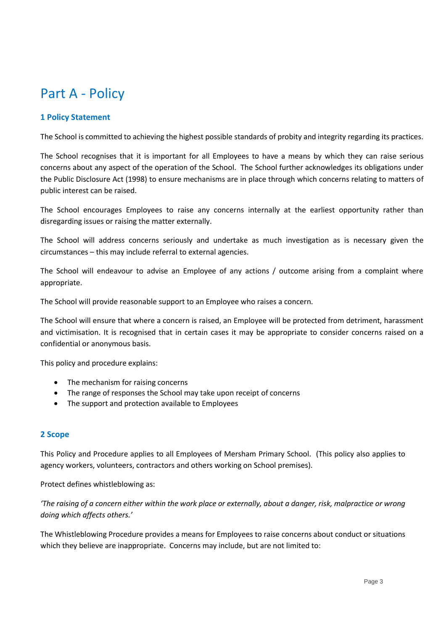# Part A - Policy

# **1 Policy Statement**

The School is committed to achieving the highest possible standards of probity and integrity regarding its practices.

The School recognises that it is important for all Employees to have a means by which they can raise serious concerns about any aspect of the operation of the School. The School further acknowledges its obligations under the Public Disclosure Act (1998) to ensure mechanisms are in place through which concerns relating to matters of public interest can be raised.

The School encourages Employees to raise any concerns internally at the earliest opportunity rather than disregarding issues or raising the matter externally.

The School will address concerns seriously and undertake as much investigation as is necessary given the circumstances – this may include referral to external agencies.

The School will endeavour to advise an Employee of any actions / outcome arising from a complaint where appropriate.

The School will provide reasonable support to an Employee who raises a concern.

The School will ensure that where a concern is raised, an Employee will be protected from detriment, harassment and victimisation. It is recognised that in certain cases it may be appropriate to consider concerns raised on a confidential or anonymous basis.

This policy and procedure explains:

- The mechanism for raising concerns
- The range of responses the School may take upon receipt of concerns
- The support and protection available to Employees

# **2 Scope**

This Policy and Procedure applies to all Employees of Mersham Primary School. (This policy also applies to agency workers, volunteers, contractors and others working on School premises).

Protect defines whistleblowing as:

*'The raising of a concern either within the work place or externally, about a danger, risk, malpractice or wrong doing which affects others.'*

The Whistleblowing Procedure provides a means for Employees to raise concerns about conduct or situations which they believe are inappropriate. Concerns may include, but are not limited to: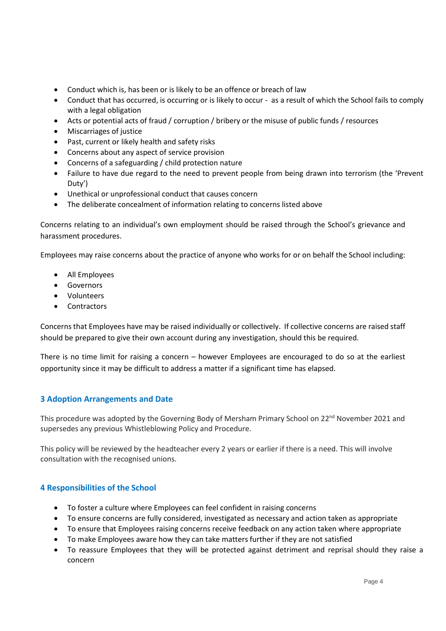- Conduct which is, has been or is likely to be an offence or breach of law
- Conduct that has occurred, is occurring or is likely to occur as a result of which the School fails to comply with a legal obligation
- Acts or potential acts of fraud / corruption / bribery or the misuse of public funds / resources
- Miscarriages of justice
- Past, current or likely health and safety risks
- Concerns about any aspect of service provision
- Concerns of a safeguarding / child protection nature
- Failure to have due regard to the need to prevent people from being drawn into terrorism (the 'Prevent Duty')
- Unethical or unprofessional conduct that causes concern
- The deliberate concealment of information relating to concerns listed above

Concerns relating to an individual's own employment should be raised through the School's grievance and harassment procedures.

Employees may raise concerns about the practice of anyone who works for or on behalf the School including:

- All Employees
- **•** Governors
- Volunteers
- Contractors

Concerns that Employees have may be raised individually or collectively. If collective concerns are raised staff should be prepared to give their own account during any investigation, should this be required.

There is no time limit for raising a concern – however Employees are encouraged to do so at the earliest opportunity since it may be difficult to address a matter if a significant time has elapsed.

# **3 Adoption Arrangements and Date**

This procedure was adopted by the Governing Body of Mersham Primary School on 22<sup>nd</sup> November 2021 and supersedes any previous Whistleblowing Policy and Procedure.

This policy will be reviewed by the headteacher every 2 years or earlier if there is a need. This will involve consultation with the recognised unions.

# **4 Responsibilities of the School**

- To foster a culture where Employees can feel confident in raising concerns
- To ensure concerns are fully considered, investigated as necessary and action taken as appropriate
- To ensure that Employees raising concerns receive feedback on any action taken where appropriate
- To make Employees aware how they can take matters further if they are not satisfied
- To reassure Employees that they will be protected against detriment and reprisal should they raise a concern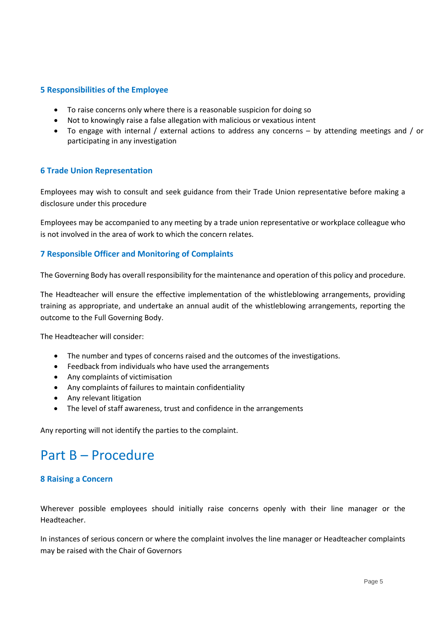## **5 Responsibilities of the Employee**

- To raise concerns only where there is a reasonable suspicion for doing so
- Not to knowingly raise a false allegation with malicious or vexatious intent
- To engage with internal / external actions to address any concerns by attending meetings and / or participating in any investigation

#### **6 Trade Union Representation**

Employees may wish to consult and seek guidance from their Trade Union representative before making a disclosure under this procedure

Employees may be accompanied to any meeting by a trade union representative or workplace colleague who is not involved in the area of work to which the concern relates.

#### **7 Responsible Officer and Monitoring of Complaints**

The Governing Body has overall responsibility for the maintenance and operation of this policy and procedure.

The Headteacher will ensure the effective implementation of the whistleblowing arrangements, providing training as appropriate, and undertake an annual audit of the whistleblowing arrangements, reporting the outcome to the Full Governing Body.

The Headteacher will consider:

- The number and types of concerns raised and the outcomes of the investigations.
- Feedback from individuals who have used the arrangements
- Any complaints of victimisation
- Any complaints of failures to maintain confidentiality
- Any relevant litigation
- The level of staff awareness, trust and confidence in the arrangements

Any reporting will not identify the parties to the complaint.

# Part B – Procedure

#### **8 Raising a Concern**

Wherever possible employees should initially raise concerns openly with their line manager or the Headteacher.

In instances of serious concern or where the complaint involves the line manager or Headteacher complaints may be raised with the Chair of Governors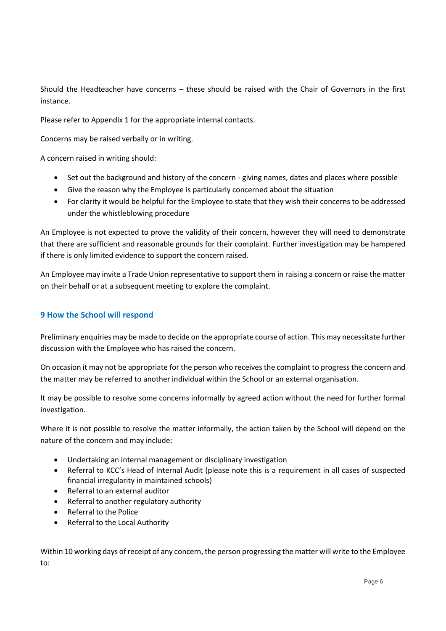Should the Headteacher have concerns – these should be raised with the Chair of Governors in the first instance.

Please refer to Appendix 1 for the appropriate internal contacts.

Concerns may be raised verbally or in writing.

A concern raised in writing should:

- Set out the background and history of the concern giving names, dates and places where possible
- Give the reason why the Employee is particularly concerned about the situation
- For clarity it would be helpful for the Employee to state that they wish their concerns to be addressed under the whistleblowing procedure

An Employee is not expected to prove the validity of their concern, however they will need to demonstrate that there are sufficient and reasonable grounds for their complaint. Further investigation may be hampered if there is only limited evidence to support the concern raised.

An Employee may invite a Trade Union representative to support them in raising a concern or raise the matter on their behalf or at a subsequent meeting to explore the complaint.

## **9 How the School will respond**

Preliminary enquiries may be made to decide on the appropriate course of action. This may necessitate further discussion with the Employee who has raised the concern.

On occasion it may not be appropriate for the person who receives the complaint to progress the concern and the matter may be referred to another individual within the School or an external organisation.

It may be possible to resolve some concerns informally by agreed action without the need for further formal investigation.

Where it is not possible to resolve the matter informally, the action taken by the School will depend on the nature of the concern and may include:

- Undertaking an internal management or disciplinary investigation
- Referral to KCC's Head of Internal Audit (please note this is a requirement in all cases of suspected financial irregularity in maintained schools)
- Referral to an external auditor
- Referral to another regulatory authority
- Referral to the Police
- Referral to the Local Authority

Within 10 working days of receipt of any concern, the person progressing the matter will write to the Employee to: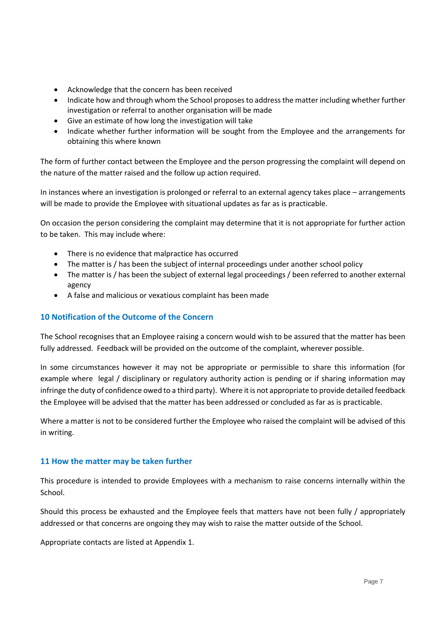- Acknowledge that the concern has been received
- Indicate how and through whom the School proposes to address the matter including whether further investigation or referral to another organisation will be made
- Give an estimate of how long the investigation will take
- Indicate whether further information will be sought from the Employee and the arrangements for obtaining this where known

The form of further contact between the Employee and the person progressing the complaint will depend on the nature of the matter raised and the follow up action required.

In instances where an investigation is prolonged or referral to an external agency takes place – arrangements will be made to provide the Employee with situational updates as far as is practicable.

On occasion the person considering the complaint may determine that it is not appropriate for further action to be taken. This may include where:

- There is no evidence that malpractice has occurred
- The matter is / has been the subject of internal proceedings under another school policy
- The matter is / has been the subject of external legal proceedings / been referred to another external agency
- A false and malicious or vexatious complaint has been made

#### **10 Notification of the Outcome of the Concern**

The School recognises that an Employee raising a concern would wish to be assured that the matter has been fully addressed. Feedback will be provided on the outcome of the complaint, wherever possible.

In some circumstances however it may not be appropriate or permissible to share this information (for example where legal / disciplinary or regulatory authority action is pending or if sharing information may infringe the duty of confidence owed to a third party). Where it is not appropriate to provide detailed feedback the Employee will be advised that the matter has been addressed or concluded as far as is practicable.

Where a matter is not to be considered further the Employee who raised the complaint will be advised of this in writing.

#### **11 How the matter may be taken further**

This procedure is intended to provide Employees with a mechanism to raise concerns internally within the School.

Should this process be exhausted and the Employee feels that matters have not been fully / appropriately addressed or that concerns are ongoing they may wish to raise the matter outside of the School.

Appropriate contacts are listed at Appendix 1.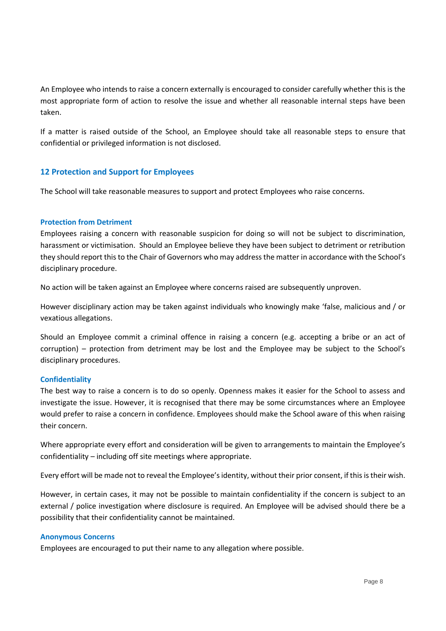An Employee who intends to raise a concern externally is encouraged to consider carefully whether this is the most appropriate form of action to resolve the issue and whether all reasonable internal steps have been taken.

If a matter is raised outside of the School, an Employee should take all reasonable steps to ensure that confidential or privileged information is not disclosed.

# **12 Protection and Support for Employees**

The School will take reasonable measures to support and protect Employees who raise concerns.

#### **Protection from Detriment**

Employees raising a concern with reasonable suspicion for doing so will not be subject to discrimination, harassment or victimisation. Should an Employee believe they have been subject to detriment or retribution they should report this to the Chair of Governors who may address the matter in accordance with the School's disciplinary procedure.

No action will be taken against an Employee where concerns raised are subsequently unproven.

However disciplinary action may be taken against individuals who knowingly make 'false, malicious and / or vexatious allegations.

Should an Employee commit a criminal offence in raising a concern (e.g. accepting a bribe or an act of corruption) – protection from detriment may be lost and the Employee may be subject to the School's disciplinary procedures.

#### **Confidentiality**

The best way to raise a concern is to do so openly. Openness makes it easier for the School to assess and investigate the issue. However, it is recognised that there may be some circumstances where an Employee would prefer to raise a concern in confidence. Employees should make the School aware of this when raising their concern.

Where appropriate every effort and consideration will be given to arrangements to maintain the Employee's confidentiality – including off site meetings where appropriate.

Every effort will be made not to reveal the Employee's identity, without their prior consent, if this is their wish.

However, in certain cases, it may not be possible to maintain confidentiality if the concern is subject to an external / police investigation where disclosure is required. An Employee will be advised should there be a possibility that their confidentiality cannot be maintained.

#### **Anonymous Concerns**

Employees are encouraged to put their name to any allegation where possible.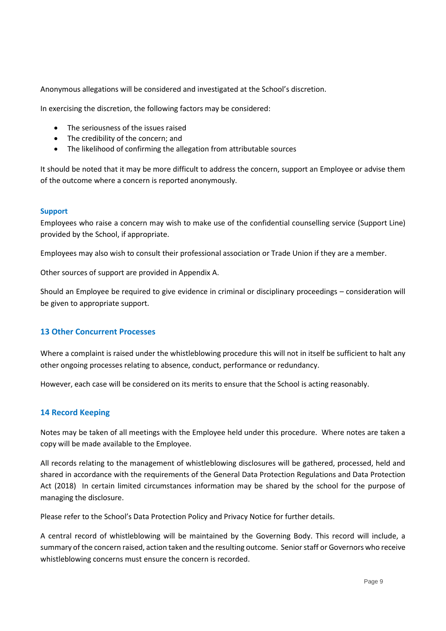Anonymous allegations will be considered and investigated at the School's discretion.

In exercising the discretion, the following factors may be considered:

- The seriousness of the issues raised
- The credibility of the concern; and
- The likelihood of confirming the allegation from attributable sources

It should be noted that it may be more difficult to address the concern, support an Employee or advise them of the outcome where a concern is reported anonymously.

#### **Support**

Employees who raise a concern may wish to make use of the confidential counselling service (Support Line) provided by the School, if appropriate.

Employees may also wish to consult their professional association or Trade Union if they are a member.

Other sources of support are provided in Appendix A.

Should an Employee be required to give evidence in criminal or disciplinary proceedings – consideration will be given to appropriate support.

#### **13 Other Concurrent Processes**

Where a complaint is raised under the whistleblowing procedure this will not in itself be sufficient to halt any other ongoing processes relating to absence, conduct, performance or redundancy.

However, each case will be considered on its merits to ensure that the School is acting reasonably.

#### **14 Record Keeping**

Notes may be taken of all meetings with the Employee held under this procedure. Where notes are taken a copy will be made available to the Employee.

All records relating to the management of whistleblowing disclosures will be gathered, processed, held and shared in accordance with the requirements of the General Data Protection Regulations and Data Protection Act (2018) In certain limited circumstances information may be shared by the school for the purpose of managing the disclosure.

Please refer to the School's Data Protection Policy and Privacy Notice for further details.

A central record of whistleblowing will be maintained by the Governing Body. This record will include, a summary of the concern raised, action taken and the resulting outcome. Senior staff or Governors who receive whistleblowing concerns must ensure the concern is recorded.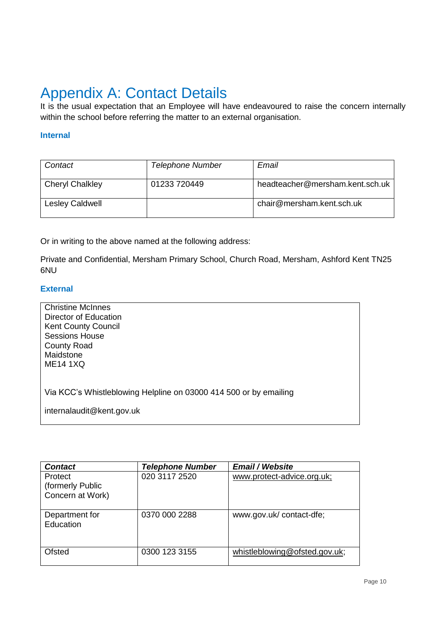# Appendix A: Contact Details

It is the usual expectation that an Employee will have endeavoured to raise the concern internally within the school before referring the matter to an external organisation.

## **Internal**

| Contact                | <b>Telephone Number</b> | Email                           |
|------------------------|-------------------------|---------------------------------|
| <b>Cheryl Chalkley</b> | 01233 720449            | headteacher@mersham.kent.sch.uk |
| <b>Lesley Caldwell</b> |                         | chair@mersham.kent.sch.uk       |

Or in writing to the above named at the following address:

Private and Confidential, Mersham Primary School, Church Road, Mersham, Ashford Kent TN25 6NU

# **External**

| <b>Christine McInnes</b>                                          |
|-------------------------------------------------------------------|
| Director of Education                                             |
| <b>Kent County Council</b>                                        |
| <b>Sessions House</b>                                             |
| <b>County Road</b>                                                |
| Maidstone                                                         |
| <b>ME14 1XQ</b>                                                   |
|                                                                   |
|                                                                   |
| Via KCC's Whistleblowing Helpline on 03000 414 500 or by emailing |
|                                                                   |
| internalaudit@kent.gov.uk                                         |
|                                                                   |

| <b>Contact</b>              | <b>Telephone Number</b> | <b>Email / Website</b>        |
|-----------------------------|-------------------------|-------------------------------|
| Protect<br>(formerly Public | 020 3117 2520           | www.protect-advice.org.uk;    |
| Concern at Work)            |                         |                               |
| Department for<br>Education | 0370 000 2288           | www.gov.uk/contact-dfe;       |
| Ofsted                      | 0300 123 3155           | whistleblowing@ofsted.gov.uk; |